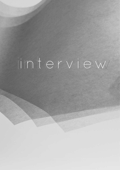# interview interview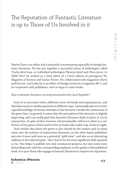# The Reputation of Fantastic Literature is up to Those of Us Involved in it

Martin Šust is an editor and a journalist concentrating especially at foreign fantastic literature. He has put together a successful series of anthologies called *Trochu divné kusy*, or individual anthologies *Plameny hvězd* and *Plnou parou*. In 2006–2011 he worked as a chief editor of a Czech edition of prestigious *The Magazine of Fantasy and Science Fiction*. He collaborated with magazines *Ikarie* and *Pevnost*, and today he is an editor of foreign stories in a magazine *XB-1*, and he cooperates with publishers, such as Argo or Laser-books.

## *How is fantastic literature currently perceived in the Czech Republic?*

Each of us associates with a different circle of friends and acquaintances, and therefore reacts to similar questions in different ways. I personally also try to have a good knowledge of various attitudes to the fantastic outside the community of the genre fans. In general, it seems that the perception of the fantastic is slightly improving, and I am really glad that fantastic literature finds its place at Czech universities. In spite of that, however, the broad public still see it rather as a collection of low genre clichés and its fans as freaks who make crop circles at night.

Such similar idea about the genre is also shared by the readers and, in many cases, also the authors of mainstream literature; on the other hand, publishers perceive it more and more as a potential "gold mine", and also as an interesting addition to the editorial plan – this I find to be the most significant shift upwards so far. This helps to publish not only commercial projects, but also some more demanding texts with the corresponding emphasis on the quality of the published book. It is up to those who engage in fantastic literature to improve its reputation.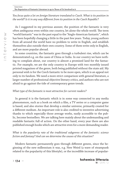> **134** >>

Interview **The Reputation of Fantastic Literature is up to Those of Us Involved in it**

*You focus quite a lot on foreign literature translated to Czech. What is its position in the world? Is it in any way different from its position in the Czech Republic?*

As I suggested in my previous answer, the position of the fantastic is very often ambiguous even within one country, let alone the whole world. The term "world fantastic" was in the past equal to the "Anglo-American fantastic", which has been hopefully changing a little in the past few years. Today, young authors from all around the world have no problem to write in English, and establish themselves also outside their own country. Some of them write only in English, and are more popular abroad.

In some countries, the fantastic goes through a turbulent rise, which can be demonstrated e.g. on the cases of China or India. In our country we have nothing to complain about, our country is almost a promised land for the fantastic. For example, we are the only country in Europe with two monthly issued printed magazines of the genre, both being published without the state aid. My personal wish is for the Czech fantastic to be more open, which is an appeal not only to its fandom. We need a more strict comparison with general literature, a larger number of professional objective literary critics, and authors who are not afraid to go against the tide of contemporary genre trends.

#### *What type of the fantastic is most attractive for current readers?*

In general it is the fantastic which is in some way connected to any media phenomenon, such as a book on which a film, a TV series or a computer game is based, and also stories that develop a similar universe, primarily created for a different medium. An important role is also credited to inventive advertising thanks to which especially those average works, easily accessible to the public, become bestsellers. We are talking here mainly about the undemanding and readable fantastic full of action. On the other hand, every year there are also published enough books which are attractive even for a more demanding reader.

*What is the popularity rate of the traditional subgenres of the fantastic: science fiction and fantasy? And can we determine the causes of this situation?*

Modern fantastic permanently goes through different genres, since the beginning of the new millennium it was, e.g. New Weird (a wave of steampunk related to the popularity of this lifestyle), or the incredible increase of popular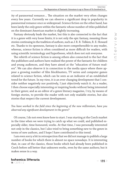ity of paranormal romance… The situation on the market very often changes every few years. Currently we can observe a significant drop in popularity in paranormal romance once so widespread. Science fiction on the other hand, has been lately the only genre within the fantastic whose number of titles published on the dominant American market is slightly increasing.

Fantasy obviously leads the market, but this is also connected to the fact that it is a genre with very loose limits; it is not only the epic fantasy, meaning those stories continuing in the tradition of authors, such as J. R. R. Tolkien, R. E. Howard etc. Thanks to its openness, fantasy is also more comprehensible to any reader, whereas, science fiction is often considered as more difficult for readers, with using scientific terminology and hypotheses, which does not suit everyone.

The rebirth of science fiction is among others also connected to the fact that the publishers and authors have realized the power of the fantastic for children and young audiences, and they have aimed at the "education of future readers". We can also observe it in connection to the media space where there appear a growing number of film blockbusters, TV series and computer games related to science fiction, which can be seen as an indicator of an established trend for the future. In my view, it is an ever-changing development that I consider neither negatively nor positively, I just objectively watch it. As a reader, I then choose especially interesting or inspiring books without being interested in their genre; and as an editor of a genre literary magazine, I try, by means of foreign stories, to provide the reader with not only readable stories, but also stories that respect the current development.

## *You have worked in the field since the beginning of the new millennium, have you observed any significant development in the genre?*

Of course, I do not even know here to start. I was starting at the Czech market in the time when we were trying to catch up what we could, and published especially older, time-honoured, works. At that time, I was personally interested not only in the classics, but I also tried to bring something new to the genre in terms of new authors, and I hope I have contributed to this trend.

I am even sorry a bit in retrospection that we did not manage to publish a large number of books for which there is almost no space nowadays. It is interesting that, in case of the classics, those books which had already been published in Czech before sell better that unknown works, even by the same authors; but it makes sense in a way.